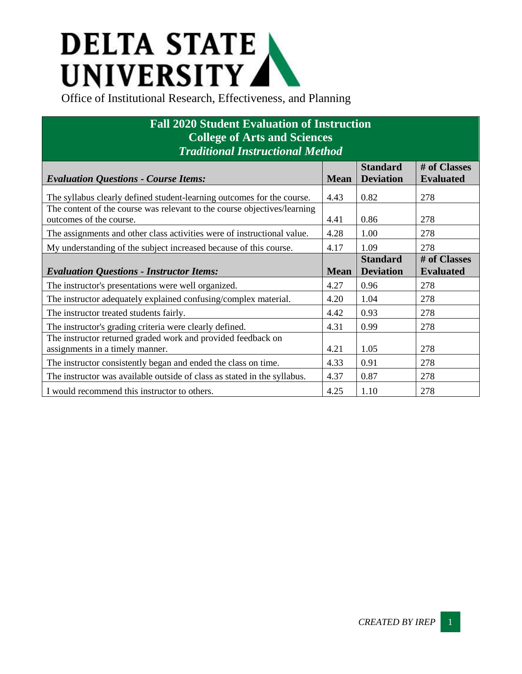## **DELTA STATE** UNIVERSITY

## **Fall 2020 Student Evaluation of Instruction College of Arts and Sciences** *Traditional Instructional Method*

| <b>Evaluation Questions - Course Items:</b>                                                         | <b>Mean</b> | <b>Standard</b><br><b>Deviation</b> | # of Classes<br><b>Evaluated</b> |
|-----------------------------------------------------------------------------------------------------|-------------|-------------------------------------|----------------------------------|
| The syllabus clearly defined student-learning outcomes for the course.                              | 4.43        | 0.82                                | 278                              |
| The content of the course was relevant to the course objectives/learning<br>outcomes of the course. | 4.41        | 0.86                                | 278                              |
| The assignments and other class activities were of instructional value.                             | 4.28        | 1.00                                | 278                              |
| My understanding of the subject increased because of this course.                                   | 4.17        | 1.09                                | 278                              |
| <b>Evaluation Questions - Instructor Items:</b>                                                     | <b>Mean</b> | <b>Standard</b><br><b>Deviation</b> | # of Classes<br><b>Evaluated</b> |
| The instructor's presentations were well organized.                                                 | 4.27        | 0.96                                | 278                              |
| The instructor adequately explained confusing/complex material.                                     | 4.20        | 1.04                                | 278                              |
| The instructor treated students fairly.                                                             | 4.42        | 0.93                                | 278                              |
| The instructor's grading criteria were clearly defined.                                             | 4.31        | 0.99                                | 278                              |
| The instructor returned graded work and provided feedback on<br>assignments in a timely manner.     | 4.21        | 1.05                                | 278                              |
| The instructor consistently began and ended the class on time.                                      | 4.33        | 0.91                                | 278                              |
| The instructor was available outside of class as stated in the syllabus.                            | 4.37        | 0.87                                | 278                              |
| I would recommend this instructor to others.                                                        | 4.25        | 1.10                                | 278                              |